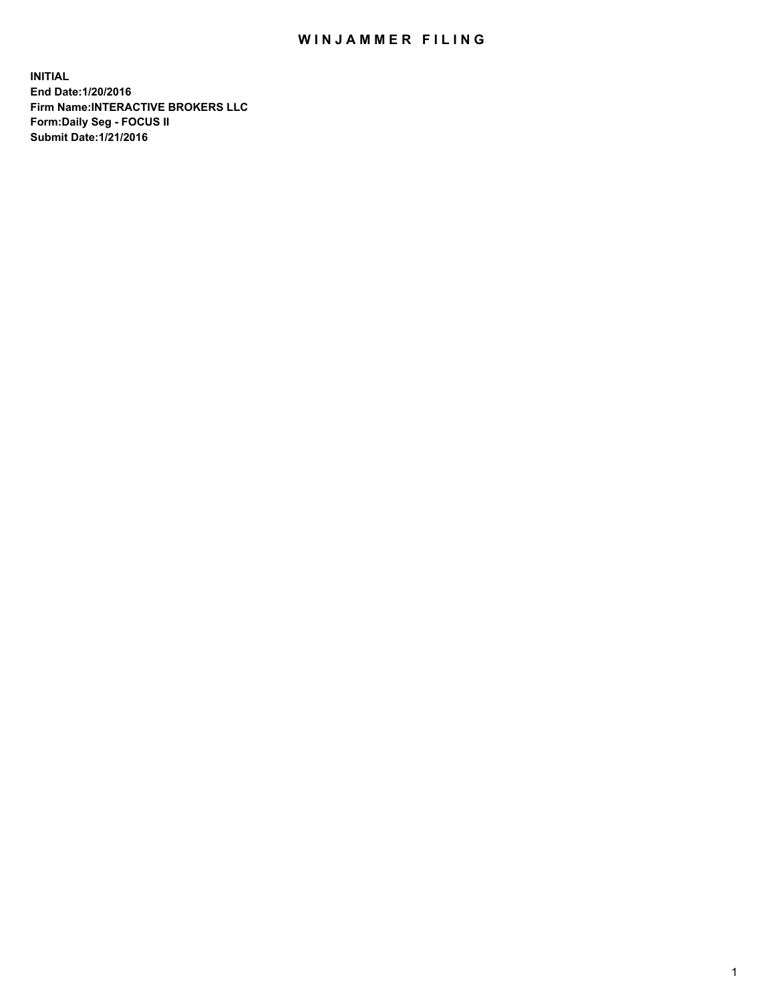## WIN JAMMER FILING

**INITIAL End Date:1/20/2016 Firm Name:INTERACTIVE BROKERS LLC Form:Daily Seg - FOCUS II Submit Date:1/21/2016**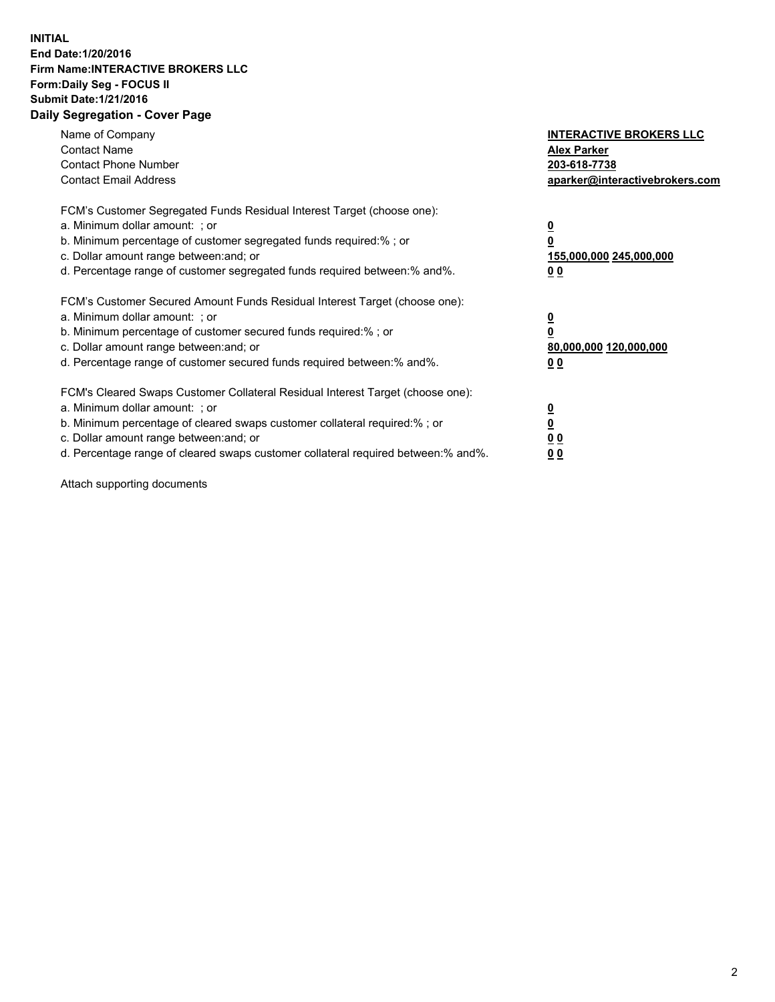## **INITIAL End Date:1/20/2016 Firm Name:INTERACTIVE BROKERS LLC Form:Daily Seg - FOCUS II Submit Date:1/21/2016 Daily Segregation - Cover Page**

| Name of Company<br><b>Contact Name</b><br><b>Contact Phone Number</b><br><b>Contact Email Address</b>                                                                                                                                                                                                                         | <b>INTERACTIVE BROKERS LLC</b><br><b>Alex Parker</b><br>203-618-7738<br>aparker@interactivebrokers.com |
|-------------------------------------------------------------------------------------------------------------------------------------------------------------------------------------------------------------------------------------------------------------------------------------------------------------------------------|--------------------------------------------------------------------------------------------------------|
| FCM's Customer Segregated Funds Residual Interest Target (choose one):<br>a. Minimum dollar amount: ; or<br>b. Minimum percentage of customer segregated funds required:% ; or<br>c. Dollar amount range between: and; or<br>d. Percentage range of customer segregated funds required between:% and%.                        | <u>0</u><br>155,000,000 245,000,000<br>0 <sub>0</sub>                                                  |
| FCM's Customer Secured Amount Funds Residual Interest Target (choose one):<br>a. Minimum dollar amount: ; or<br>b. Minimum percentage of customer secured funds required:%; or<br>c. Dollar amount range between: and; or<br>d. Percentage range of customer secured funds required between: % and %.                         | <u>0</u><br>80,000,000 120,000,000<br><u>00</u>                                                        |
| FCM's Cleared Swaps Customer Collateral Residual Interest Target (choose one):<br>a. Minimum dollar amount: ; or<br>b. Minimum percentage of cleared swaps customer collateral required:%; or<br>c. Dollar amount range between: and; or<br>d. Percentage range of cleared swaps customer collateral required between:% and%. | <u>0</u><br>0 <sub>0</sub><br>0 <sub>0</sub>                                                           |

Attach supporting documents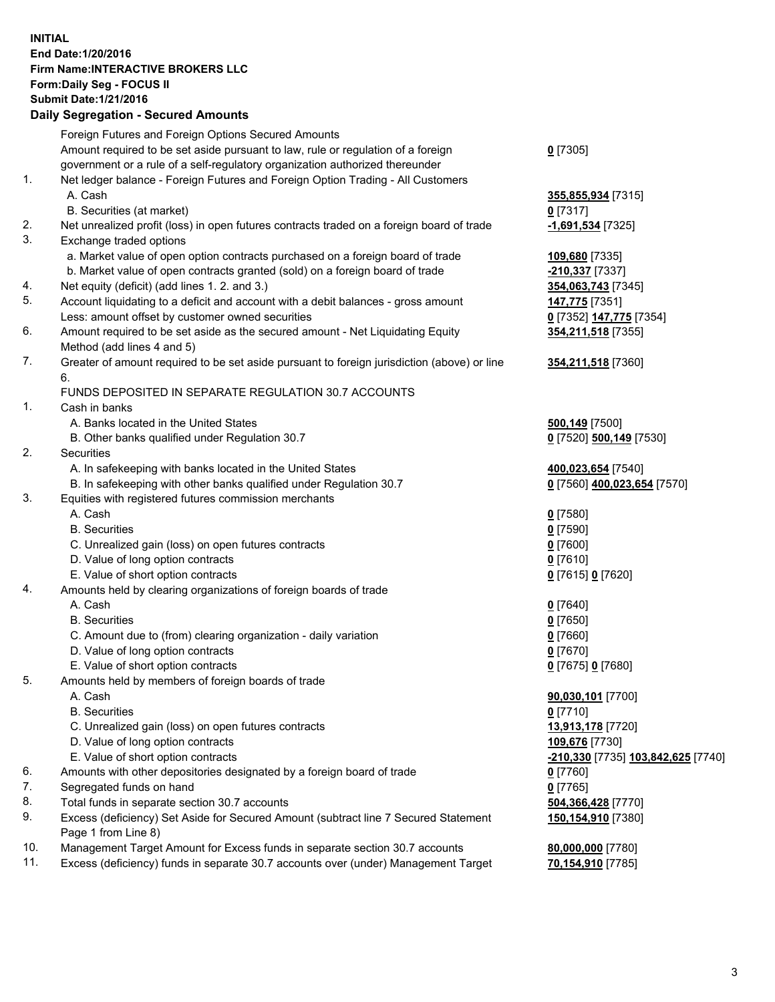## **INITIAL End Date:1/20/2016 Firm Name:INTERACTIVE BROKERS LLC Form:Daily Seg - FOCUS II Submit Date:1/21/2016 Daily Segregation - Secured Amounts**

|     | any ovgrogation oooaroa Amoante                                                                   |                                    |
|-----|---------------------------------------------------------------------------------------------------|------------------------------------|
|     | Foreign Futures and Foreign Options Secured Amounts                                               |                                    |
|     | Amount required to be set aside pursuant to law, rule or regulation of a foreign                  | $0$ [7305]                         |
|     | government or a rule of a self-regulatory organization authorized thereunder                      |                                    |
| 1.  | Net ledger balance - Foreign Futures and Foreign Option Trading - All Customers                   |                                    |
|     | A. Cash                                                                                           | 355,855,934 [7315]                 |
|     | B. Securities (at market)                                                                         | $0$ [7317]                         |
| 2.  | Net unrealized profit (loss) in open futures contracts traded on a foreign board of trade         | -1,691,534 [7325]                  |
| 3.  | Exchange traded options                                                                           |                                    |
|     | a. Market value of open option contracts purchased on a foreign board of trade                    | 109,680 [7335]                     |
|     | b. Market value of open contracts granted (sold) on a foreign board of trade                      | -210,337 [7337]                    |
| 4.  | Net equity (deficit) (add lines 1.2. and 3.)                                                      | 354,063,743 [7345]                 |
| 5.  | Account liquidating to a deficit and account with a debit balances - gross amount                 | 147,775 [7351]                     |
|     | Less: amount offset by customer owned securities                                                  | 0 [7352] 147,775 [7354]            |
| 6.  | Amount required to be set aside as the secured amount - Net Liquidating Equity                    | 354,211,518 [7355]                 |
|     | Method (add lines 4 and 5)                                                                        |                                    |
| 7.  | Greater of amount required to be set aside pursuant to foreign jurisdiction (above) or line<br>6. | 354,211,518 [7360]                 |
|     | FUNDS DEPOSITED IN SEPARATE REGULATION 30.7 ACCOUNTS                                              |                                    |
| 1.  | Cash in banks                                                                                     |                                    |
|     | A. Banks located in the United States                                                             | 500,149 [7500]                     |
|     | B. Other banks qualified under Regulation 30.7                                                    | 0 [7520] 500,149 [7530]            |
| 2.  | Securities                                                                                        |                                    |
|     | A. In safekeeping with banks located in the United States                                         | 400,023,654 [7540]                 |
|     | B. In safekeeping with other banks qualified under Regulation 30.7                                | 0 [7560] 400,023,654 [7570]        |
| 3.  | Equities with registered futures commission merchants                                             |                                    |
|     | A. Cash                                                                                           | $0$ [7580]                         |
|     | <b>B.</b> Securities                                                                              | $0$ [7590]                         |
|     | C. Unrealized gain (loss) on open futures contracts                                               | $0$ [7600]                         |
|     | D. Value of long option contracts                                                                 | $0$ [7610]                         |
|     | E. Value of short option contracts                                                                | 0 [7615] 0 [7620]                  |
| 4.  | Amounts held by clearing organizations of foreign boards of trade                                 |                                    |
|     | A. Cash                                                                                           | $0$ [7640]                         |
|     | <b>B.</b> Securities                                                                              | $0$ [7650]                         |
|     | C. Amount due to (from) clearing organization - daily variation                                   | $0$ [7660]                         |
|     | D. Value of long option contracts                                                                 | $0$ [7670]                         |
|     | E. Value of short option contracts                                                                | 0 [7675] 0 [7680]                  |
| 5.  | Amounts held by members of foreign boards of trade                                                |                                    |
|     | A. Cash                                                                                           | 90,030,101 [7700]                  |
|     | <b>B.</b> Securities                                                                              | $0$ [7710]                         |
|     | C. Unrealized gain (loss) on open futures contracts                                               | 13,913,178 [7720]                  |
|     | D. Value of long option contracts                                                                 | 109,676 [7730]                     |
|     | E. Value of short option contracts                                                                | -210,330 [7735] 103,842,625 [7740] |
| 6.  | Amounts with other depositories designated by a foreign board of trade                            | 0 [7760]                           |
| 7.  | Segregated funds on hand                                                                          | $0$ [7765]                         |
| 8.  | Total funds in separate section 30.7 accounts                                                     | 504,366,428 [7770]                 |
| 9.  | Excess (deficiency) Set Aside for Secured Amount (subtract line 7 Secured Statement               | 150,154,910 [7380]                 |
|     | Page 1 from Line 8)                                                                               |                                    |
| 10. | Management Target Amount for Excess funds in separate section 30.7 accounts                       | 80,000,000 [7780]                  |
| 11. | Excess (deficiency) funds in separate 30.7 accounts over (under) Management Target                | 70,154,910 [7785]                  |
|     |                                                                                                   |                                    |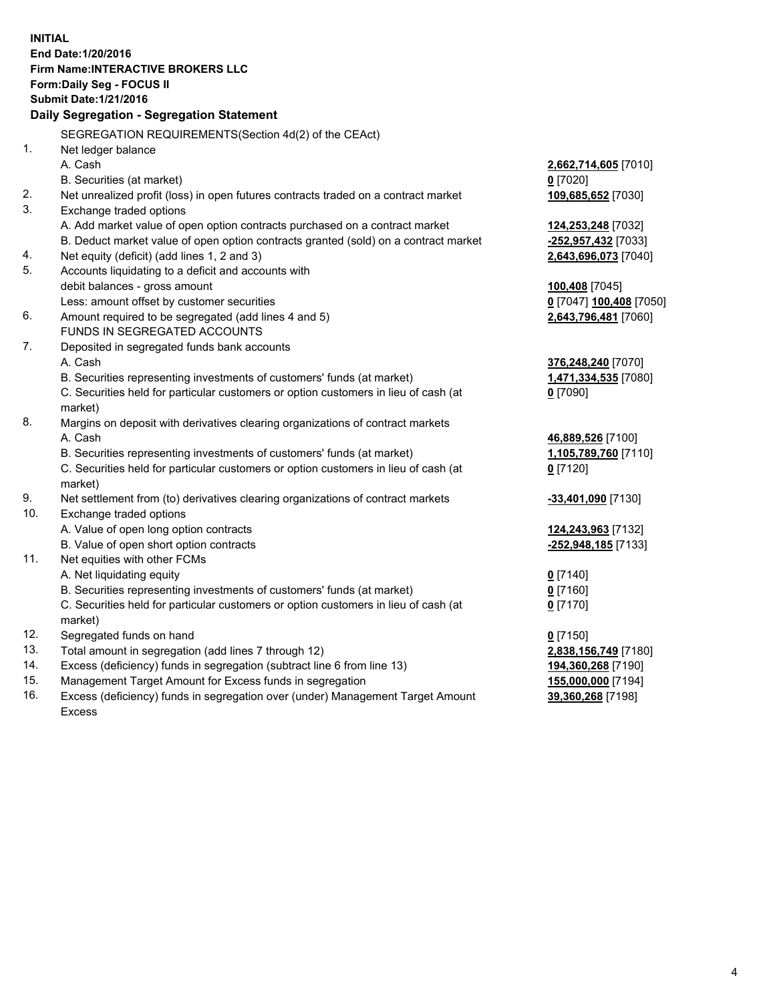**INITIAL End Date:1/20/2016 Firm Name:INTERACTIVE BROKERS LLC Form:Daily Seg - FOCUS II Submit Date:1/21/2016 Daily Segregation - Segregation Statement** SEGREGATION REQUIREMENTS(Section 4d(2) of the CEAct) 1. Net ledger balance A. Cash **2,662,714,605** [7010] B. Securities (at market) **0** [7020] 2. Net unrealized profit (loss) in open futures contracts traded on a contract market **109,685,652** [7030] 3. Exchange traded options A. Add market value of open option contracts purchased on a contract market **124,253,248** [7032] B. Deduct market value of open option contracts granted (sold) on a contract market **-252,957,432** [7033] 4. Net equity (deficit) (add lines 1, 2 and 3) **2,643,696,073** [7040] 5. Accounts liquidating to a deficit and accounts with debit balances - gross amount **100,408** [7045] Less: amount offset by customer securities **0** [7047] **100,408** [7050] 6. Amount required to be segregated (add lines 4 and 5) **2,643,796,481** [7060] FUNDS IN SEGREGATED ACCOUNTS 7. Deposited in segregated funds bank accounts A. Cash **376,248,240** [7070] B. Securities representing investments of customers' funds (at market) **1,471,334,535** [7080] C. Securities held for particular customers or option customers in lieu of cash (at market) **0** [7090] 8. Margins on deposit with derivatives clearing organizations of contract markets A. Cash **46,889,526** [7100] B. Securities representing investments of customers' funds (at market) **1,105,789,760** [7110] C. Securities held for particular customers or option customers in lieu of cash (at market) **0** [7120] 9. Net settlement from (to) derivatives clearing organizations of contract markets **-33,401,090** [7130] 10. Exchange traded options A. Value of open long option contracts **124,243,963** [7132] B. Value of open short option contracts **-252,948,185** [7133] 11. Net equities with other FCMs A. Net liquidating equity **0** [7140] B. Securities representing investments of customers' funds (at market) **0** [7160] C. Securities held for particular customers or option customers in lieu of cash (at market) **0** [7170] 12. Segregated funds on hand **0** [7150] 13. Total amount in segregation (add lines 7 through 12) **2,838,156,749** [7180] 14. Excess (deficiency) funds in segregation (subtract line 6 from line 13) **194,360,268** [7190] 15. Management Target Amount for Excess funds in segregation **155,000,000** [7194] **39,360,268** [7198]

16. Excess (deficiency) funds in segregation over (under) Management Target Amount Excess